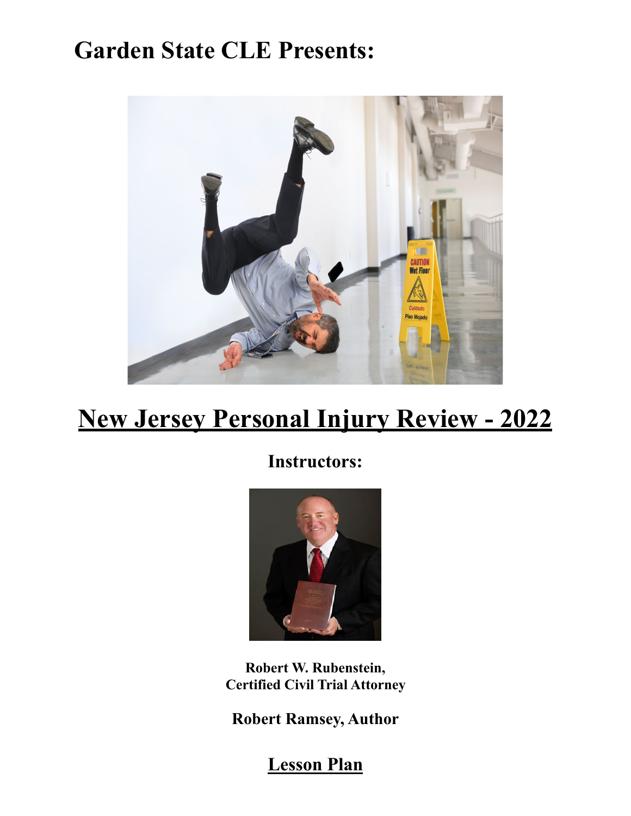# **Garden State CLE Presents:**



## **New Jersey Personal Injury Review - 2022**

**Instructors:** 



**Robert W. Rubenstein, Certified Civil Trial Attorney** 

**Robert Ramsey, Author** 

**Lesson Plan**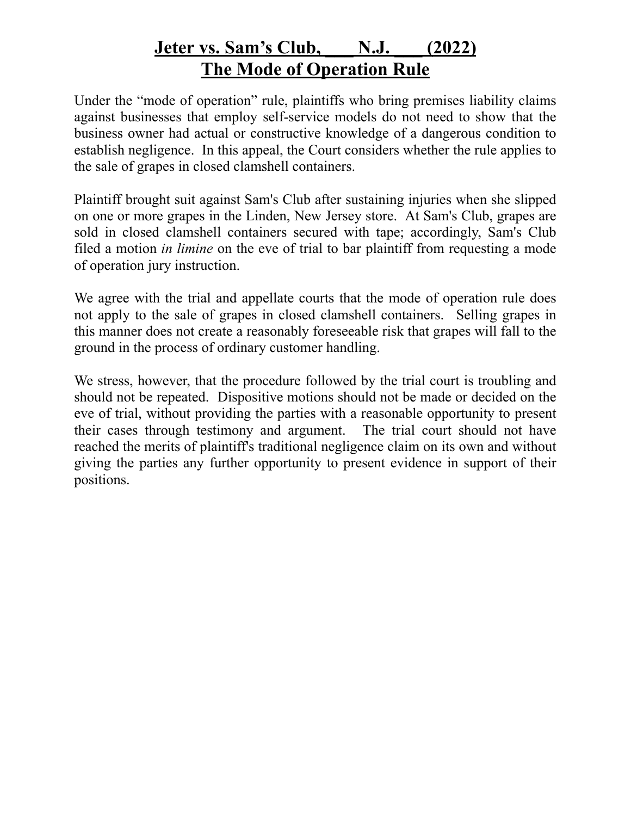#### **Jeter vs. Sam's Club, \_\_\_ N.J. \_\_\_ (2022) The Mode of Operation Rule**

Under the "mode of operation" rule, plaintiffs who bring premises liability claims against businesses that employ self-service models do not need to show that the business owner had actual or constructive knowledge of a dangerous condition to establish negligence. In this appeal, the Court considers whether the rule applies to the sale of grapes in closed clamshell containers.

Plaintiff brought suit against Sam's Club after sustaining injuries when she slipped on one or more grapes in the Linden, New Jersey store. At Sam's Club, grapes are sold in closed clamshell containers secured with tape; accordingly, Sam's Club filed a motion *in limine* on the eve of trial to bar plaintiff from requesting a mode of operation jury instruction.

We agree with the trial and appellate courts that the mode of operation rule does not apply to the sale of grapes in closed clamshell containers. Selling grapes in this manner does not create a reasonably foreseeable risk that grapes will fall to the ground in the process of ordinary customer handling.

We stress, however, that the procedure followed by the trial court is troubling and should not be repeated. Dispositive motions should not be made or decided on the eve of trial, without providing the parties with a reasonable opportunity to present their cases through testimony and argument. The trial court should not have reached the merits of plaintiff's traditional negligence claim on its own and without giving the parties any further opportunity to present evidence in support of their positions.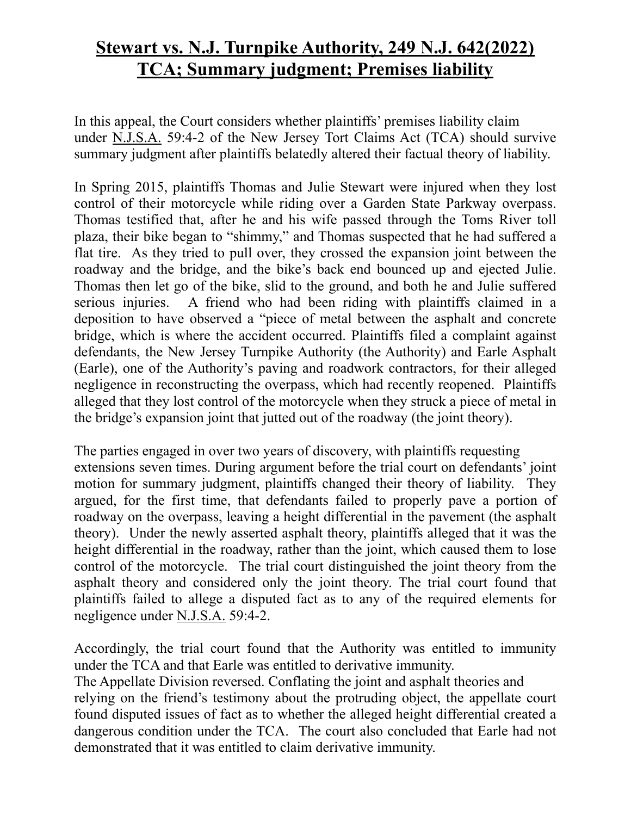#### **Stewart vs. N.J. Turnpike Authority, 249 N.J. 642(2022) TCA; Summary judgment; Premises liability**

In this appeal, the Court considers whether plaintiffs' premises liability claim under N.J.S.A. 59:4-2 of the New Jersey Tort Claims Act (TCA) should survive summary judgment after plaintiffs belatedly altered their factual theory of liability.

In Spring 2015, plaintiffs Thomas and Julie Stewart were injured when they lost control of their motorcycle while riding over a Garden State Parkway overpass. Thomas testified that, after he and his wife passed through the Toms River toll plaza, their bike began to "shimmy," and Thomas suspected that he had suffered a flat tire. As they tried to pull over, they crossed the expansion joint between the roadway and the bridge, and the bike's back end bounced up and ejected Julie. Thomas then let go of the bike, slid to the ground, and both he and Julie suffered serious injuries. A friend who had been riding with plaintiffs claimed in a deposition to have observed a "piece of metal between the asphalt and concrete bridge, which is where the accident occurred. Plaintiffs filed a complaint against defendants, the New Jersey Turnpike Authority (the Authority) and Earle Asphalt (Earle), one of the Authority's paving and roadwork contractors, for their alleged negligence in reconstructing the overpass, which had recently reopened. Plaintiffs alleged that they lost control of the motorcycle when they struck a piece of metal in the bridge's expansion joint that jutted out of the roadway (the joint theory).

The parties engaged in over two years of discovery, with plaintiffs requesting extensions seven times. During argument before the trial court on defendants' joint motion for summary judgment, plaintiffs changed their theory of liability. They argued, for the first time, that defendants failed to properly pave a portion of roadway on the overpass, leaving a height differential in the pavement (the asphalt theory). Under the newly asserted asphalt theory, plaintiffs alleged that it was the height differential in the roadway, rather than the joint, which caused them to lose control of the motorcycle. The trial court distinguished the joint theory from the asphalt theory and considered only the joint theory. The trial court found that plaintiffs failed to allege a disputed fact as to any of the required elements for negligence under N.J.S.A. 59:4-2.

Accordingly, the trial court found that the Authority was entitled to immunity under the TCA and that Earle was entitled to derivative immunity.

The Appellate Division reversed. Conflating the joint and asphalt theories and relying on the friend's testimony about the protruding object, the appellate court found disputed issues of fact as to whether the alleged height differential created a dangerous condition under the TCA. The court also concluded that Earle had not demonstrated that it was entitled to claim derivative immunity.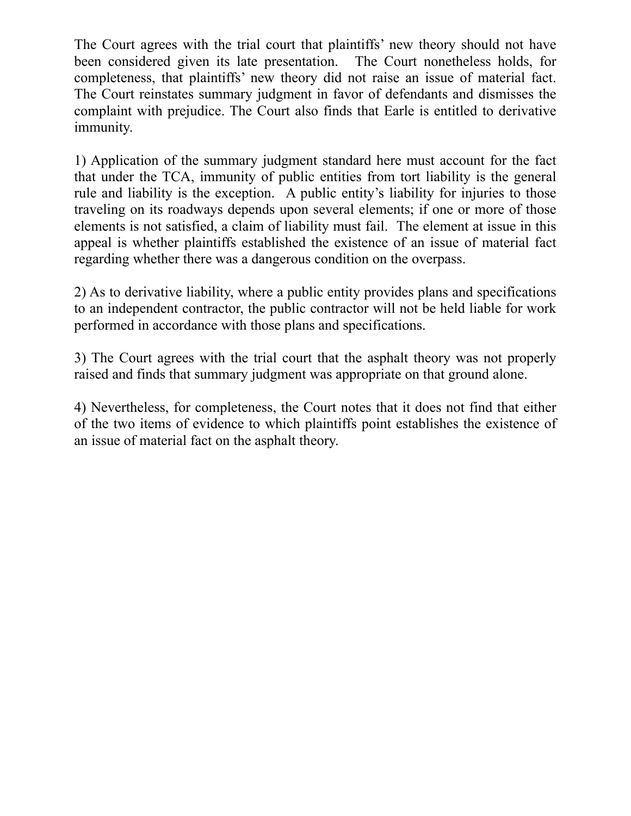The Court agrees with the trial court that plaintiffs' new theory should not have been considered given its late presentation. The Court nonetheless holds, for completeness, that plaintiffs' new theory did not raise an issue of material fact. The Court reinstates summary judgment in favor of defendants and dismisses the complaint with prejudice. The Court also finds that Earle is entitled to derivative immunity.

1) Application of the summary judgment standard here must account for the fact that under the TCA, immunity of public entities from tort liability is the general rule and liability is the exception. A public entity's liability for injuries to those traveling on its roadways depends upon several elements; if one or more of those elements is not satisfied, a claim of liability must fail. The element at issue in this appeal is whether plaintiffs established the existence of an issue of material fact regarding whether there was a dangerous condition on the overpass.

2) As to derivative liability, where a public entity provides plans and specifications to an independent contractor, the public contractor will not be held liable for work performed in accordance with those plans and specifications.

3) The Court agrees with the trial court that the asphalt theory was not properly raised and finds that summary judgment was appropriate on that ground alone.

4) Nevertheless, for completeness, the Court notes that it does not find that either of the two items of evidence to which plaintiffs point establishes the existence of an issue of material fact on the asphalt theory.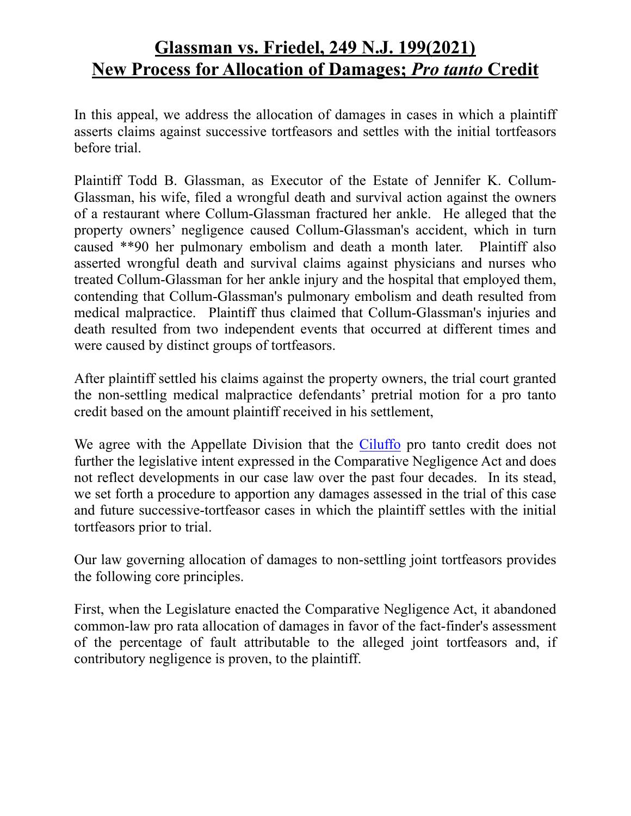#### **Glassman vs. Friedel, 249 N.J. 199(2021) New Process for Allocation of Damages;** *Pro tanto* **Credit**

In this appeal, we address the allocation of damages in cases in which a plaintiff asserts claims against successive tortfeasors and settles with the initial tortfeasors before trial.

Plaintiff Todd B. Glassman, as Executor of the Estate of Jennifer K. Collum-Glassman, his wife, filed a wrongful death and survival action against the owners of a restaurant where Collum-Glassman fractured her ankle. He alleged that the property owners' negligence caused Collum-Glassman's accident, which in turn caused \*\*90 her pulmonary embolism and death a month later. Plaintiff also asserted wrongful death and survival claims against physicians and nurses who treated Collum-Glassman for her ankle injury and the hospital that employed them, contending that Collum-Glassman's pulmonary embolism and death resulted from medical malpractice. Plaintiff thus claimed that Collum-Glassman's injuries and death resulted from two independent events that occurred at different times and were caused by distinct groups of tortfeasors.

After plaintiff settled his claims against the property owners, the trial court granted the non-settling medical malpractice defendants' pretrial motion for a pro tanto credit based on the amount plaintiff received in his settlement,

We agree with the Appellate Division that the Ciluffo pro tanto credit does not further the legislative intent expressed in the Comparative Negligence Act and does not reflect developments in our case law over the past four decades. In its stead, we set forth a procedure to apportion any damages assessed in the trial of this case and future successive-tortfeasor cases in which the plaintiff settles with the initial tortfeasors prior to trial.

Our law governing allocation of damages to non-settling joint tortfeasors provides the following core principles.

First, when the Legislature enacted the Comparative Negligence Act, it abandoned common-law pro rata allocation of damages in favor of the fact-finder's assessment of the percentage of fault attributable to the alleged joint tortfeasors and, if contributory negligence is proven, to the plaintiff.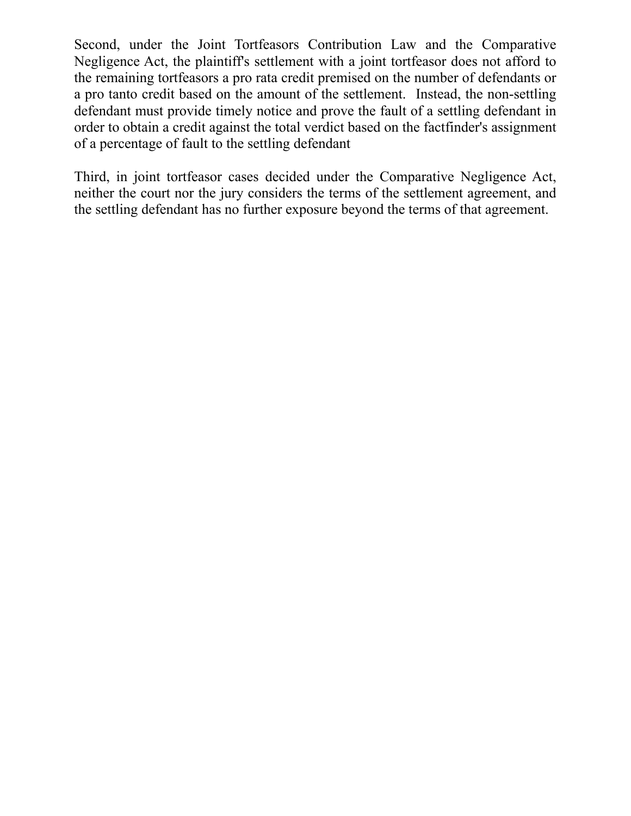Second, under the Joint Tortfeasors Contribution Law and the Comparative Negligence Act, the plaintiff's settlement with a joint tortfeasor does not afford to the remaining tortfeasors a pro rata credit premised on the number of defendants or a pro tanto credit based on the amount of the settlement. Instead, the non-settling defendant must provide timely notice and prove the fault of a settling defendant in order to obtain a credit against the total verdict based on the factfinder's assignment of a percentage of fault to the settling defendant

Third, in joint tortfeasor cases decided under the Comparative Negligence Act, neither the court nor the jury considers the terms of the settlement agreement, and the settling defendant has no further exposure beyond the terms of that agreement.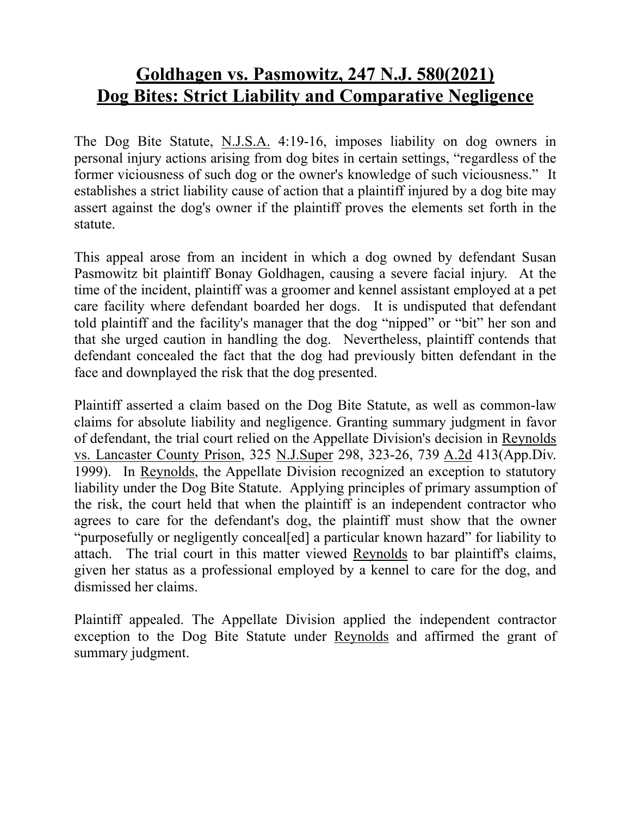#### **Goldhagen vs. Pasmowitz, 247 N.J. 580(2021) Dog Bites: Strict Liability and Comparative Negligence**

The Dog Bite Statute, N.J.S.A. 4:19-16, imposes liability on dog owners in personal injury actions arising from dog bites in certain settings, "regardless of the former viciousness of such dog or the owner's knowledge of such viciousness." It establishes a strict liability cause of action that a plaintiff injured by a dog bite may assert against the dog's owner if the plaintiff proves the elements set forth in the statute.

This appeal arose from an incident in which a dog owned by defendant Susan Pasmowitz bit plaintiff Bonay Goldhagen, causing a severe facial injury. At the time of the incident, plaintiff was a groomer and kennel assistant employed at a pet care facility where defendant boarded her dogs. It is undisputed that defendant told plaintiff and the facility's manager that the dog "nipped" or "bit" her son and that she urged caution in handling the dog. Nevertheless, plaintiff contends that defendant concealed the fact that the dog had previously bitten defendant in the face and downplayed the risk that the dog presented.

Plaintiff asserted a claim based on the Dog Bite Statute, as well as common-law claims for absolute liability and negligence. Granting summary judgment in favor of defendant, the trial court relied on the Appellate Division's decision in Reynolds vs. Lancaster County Prison, 325 N.J.Super 298, 323-26, 739 A.2d 413(App.Div. 1999). In Reynolds, the Appellate Division recognized an exception to statutory liability under the Dog Bite Statute. Applying principles of primary assumption of the risk, the court held that when the plaintiff is an independent contractor who agrees to care for the defendant's dog, the plaintiff must show that the owner "purposefully or negligently conceal[ed] a particular known hazard" for liability to attach. The trial court in this matter viewed Reynolds to bar plaintiff's claims, given her status as a professional employed by a kennel to care for the dog, and dismissed her claims.

Plaintiff appealed. The Appellate Division applied the independent contractor exception to the Dog Bite Statute under Reynolds and affirmed the grant of summary judgment.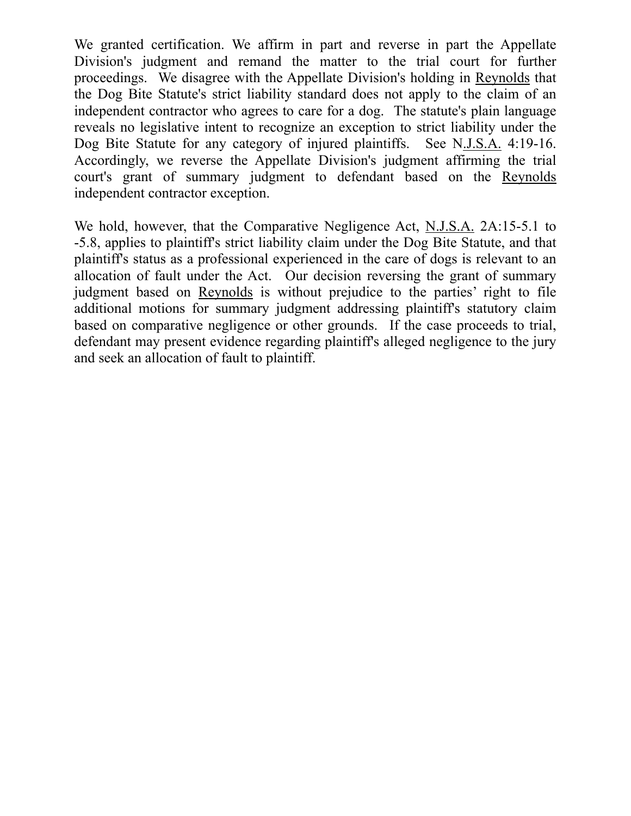We granted certification. We affirm in part and reverse in part the Appellate Division's judgment and remand the matter to the trial court for further proceedings. We disagree with the Appellate Division's holding in Reynolds that the Dog Bite Statute's strict liability standard does not apply to the claim of an independent contractor who agrees to care for a dog. The statute's plain language reveals no legislative intent to recognize an exception to strict liability under the Dog Bite Statute for any category of injured plaintiffs. See N.J.S.A. 4:19-16. Accordingly, we reverse the Appellate Division's judgment affirming the trial court's grant of summary judgment to defendant based on the Reynolds independent contractor exception.

We hold, however, that the Comparative Negligence Act, N.J.S.A. 2A:15-5.1 to -5.8, applies to plaintiff's strict liability claim under the Dog Bite Statute, and that plaintiff's status as a professional experienced in the care of dogs is relevant to an allocation of fault under the Act. Our decision reversing the grant of summary judgment based on Reynolds is without prejudice to the parties' right to file additional motions for summary judgment addressing plaintiff's statutory claim based on comparative negligence or other grounds. If the case proceeds to trial, defendant may present evidence regarding plaintiff's alleged negligence to the jury and seek an allocation of fault to plaintiff.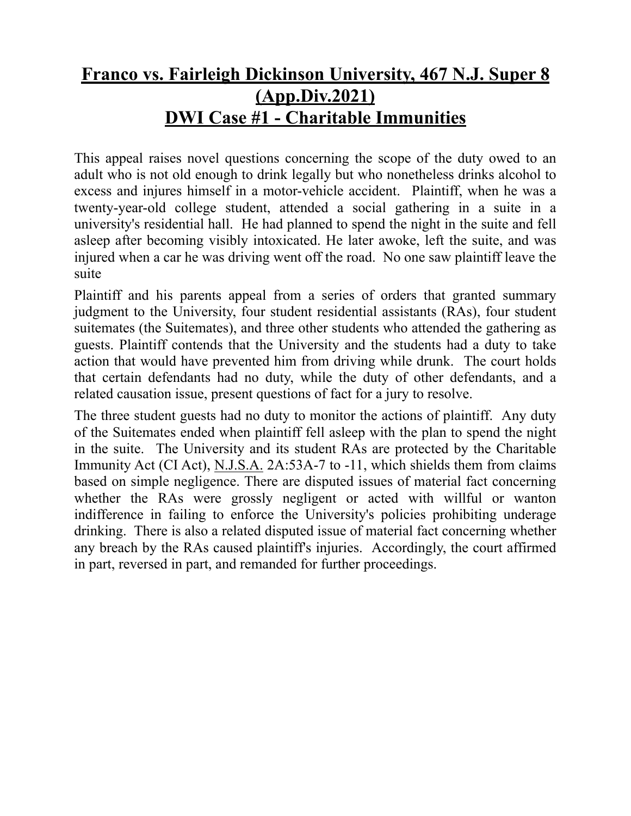#### **Franco vs. Fairleigh Dickinson University, 467 N.J. Super 8 (App.Div.2021) DWI Case #1 - Charitable Immunities**

This appeal raises novel questions concerning the scope of the duty owed to an adult who is not old enough to drink legally but who nonetheless drinks alcohol to excess and injures himself in a motor-vehicle accident. Plaintiff, when he was a twenty-year-old college student, attended a social gathering in a suite in a university's residential hall. He had planned to spend the night in the suite and fell asleep after becoming visibly intoxicated. He later awoke, left the suite, and was injured when a car he was driving went off the road. No one saw plaintiff leave the suite

Plaintiff and his parents appeal from a series of orders that granted summary judgment to the University, four student residential assistants (RAs), four student suitemates (the Suitemates), and three other students who attended the gathering as guests. Plaintiff contends that the University and the students had a duty to take action that would have prevented him from driving while drunk. The court holds that certain defendants had no duty, while the duty of other defendants, and a related causation issue, present questions of fact for a jury to resolve.

The three student guests had no duty to monitor the actions of plaintiff. Any duty of the Suitemates ended when plaintiff fell asleep with the plan to spend the night in the suite. The University and its student RAs are protected by the Charitable Immunity Act (CI Act), N.J.S.A. 2A:53A-7 to -11, which shields them from claims based on simple negligence. There are disputed issues of material fact concerning whether the RAs were grossly negligent or acted with willful or wanton indifference in failing to enforce the University's policies prohibiting underage drinking. There is also a related disputed issue of material fact concerning whether any breach by the RAs caused plaintiff's injuries. Accordingly, the court affirmed in part, reversed in part, and remanded for further proceedings.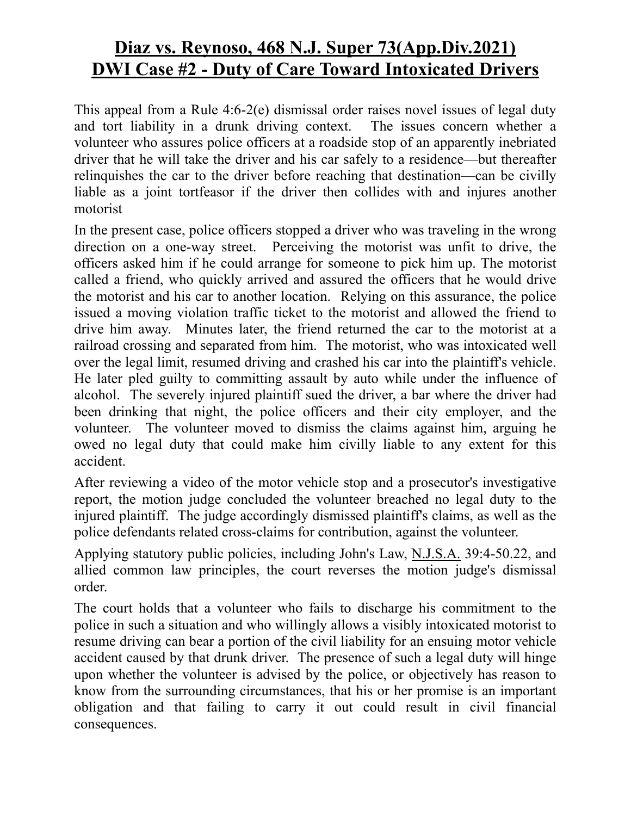#### **Diaz vs. Reynoso, 468 N.J. Super 73(App.Div.2021) DWI Case #2 - Duty of Care Toward Intoxicated Drivers**

This appeal from a Rule 4:6-2(e) dismissal order raises novel issues of legal duty and tort liability in a drunk driving context. The issues concern whether a volunteer who assures police officers at a roadside stop of an apparently inebriated driver that he will take the driver and his car safely to a residence—but thereafter relinquishes the car to the driver before reaching that destination—can be civilly liable as a joint tortfeasor if the driver then collides with and injures another motorist

In the present case, police officers stopped a driver who was traveling in the wrong direction on a one-way street. Perceiving the motorist was unfit to drive, the officers asked him if he could arrange for someone to pick him up. The motorist called a friend, who quickly arrived and assured the officers that he would drive the motorist and his car to another location. Relying on this assurance, the police issued a moving violation traffic ticket to the motorist and allowed the friend to drive him away. Minutes later, the friend returned the car to the motorist at a railroad crossing and separated from him. The motorist, who was intoxicated well over the legal limit, resumed driving and crashed his car into the plaintiff's vehicle. He later pled guilty to committing assault by auto while under the influence of alcohol. The severely injured plaintiff sued the driver, a bar where the driver had been drinking that night, the police officers and their city employer, and the volunteer. The volunteer moved to dismiss the claims against him, arguing he owed no legal duty that could make him civilly liable to any extent for this accident.

After reviewing a video of the motor vehicle stop and a prosecutor's investigative report, the motion judge concluded the volunteer breached no legal duty to the injured plaintiff. The judge accordingly dismissed plaintiff's claims, as well as the police defendants related cross-claims for contribution, against the volunteer.

Applying statutory public policies, including John's Law, N.J.S.A. 39:4-50.22, and allied common law principles, the court reverses the motion judge's dismissal order.

The court holds that a volunteer who fails to discharge his commitment to the police in such a situation and who willingly allows a visibly intoxicated motorist to resume driving can bear a portion of the civil liability for an ensuing motor vehicle accident caused by that drunk driver. The presence of such a legal duty will hinge upon whether the volunteer is advised by the police, or objectively has reason to know from the surrounding circumstances, that his or her promise is an important obligation and that failing to carry it out could result in civil financial consequences.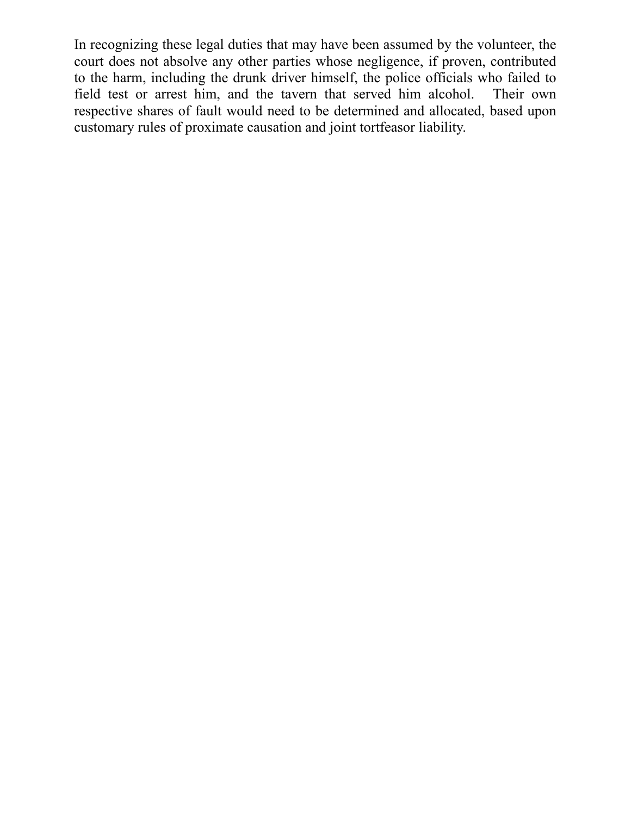In recognizing these legal duties that may have been assumed by the volunteer, the court does not absolve any other parties whose negligence, if proven, contributed to the harm, including the drunk driver himself, the police officials who failed to field test or arrest him, and the tavern that served him alcohol. Their own respective shares of fault would need to be determined and allocated, based upon customary rules of proximate causation and joint tortfeasor liability.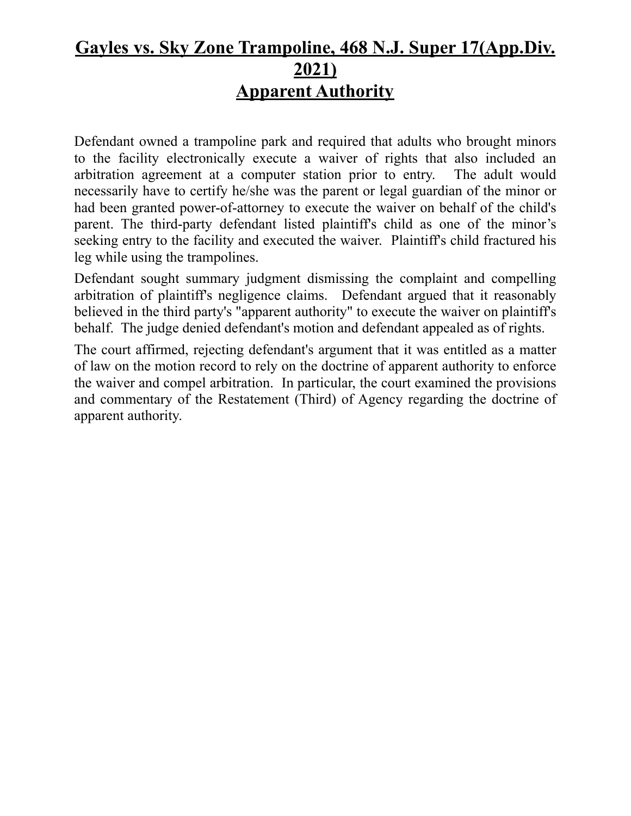#### **Gayles vs. Sky Zone Trampoline, 468 N.J. Super 17(App.Div. 2021) Apparent Authority**

Defendant owned a trampoline park and required that adults who brought minors to the facility electronically execute a waiver of rights that also included an arbitration agreement at a computer station prior to entry. The adult would necessarily have to certify he/she was the parent or legal guardian of the minor or had been granted power-of-attorney to execute the waiver on behalf of the child's parent. The third-party defendant listed plaintiff's child as one of the minor's seeking entry to the facility and executed the waiver. Plaintiff's child fractured his leg while using the trampolines.

Defendant sought summary judgment dismissing the complaint and compelling arbitration of plaintiff's negligence claims. Defendant argued that it reasonably believed in the third party's "apparent authority" to execute the waiver on plaintiff's behalf. The judge denied defendant's motion and defendant appealed as of rights.

The court affirmed, rejecting defendant's argument that it was entitled as a matter of law on the motion record to rely on the doctrine of apparent authority to enforce the waiver and compel arbitration. In particular, the court examined the provisions and commentary of the Restatement (Third) of Agency regarding the doctrine of apparent authority.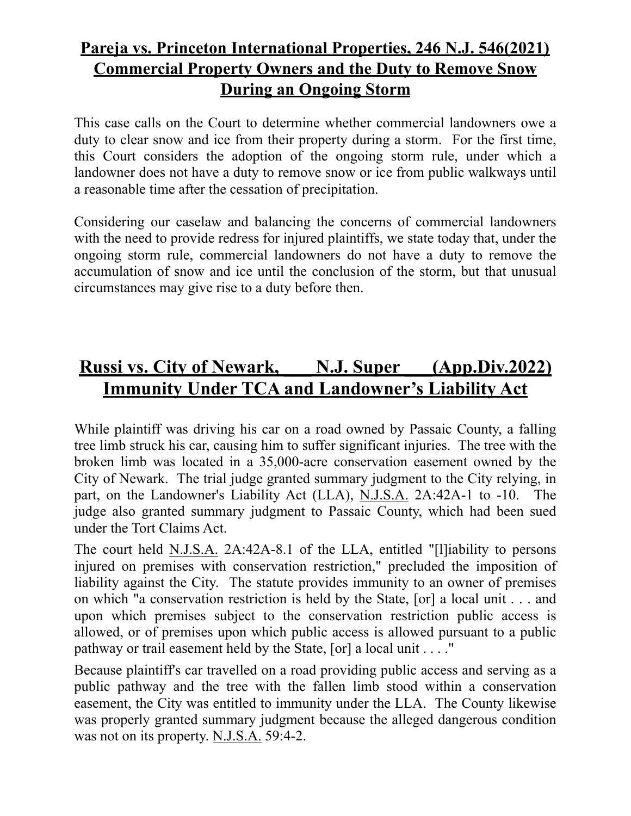#### **Pareja vs. Princeton International Properties, 246 N.J. 546(2021) Commercial Property Owners and the Duty to Remove Snow During an Ongoing Storm**

This case calls on the Court to determine whether commercial landowners owe a duty to clear snow and ice from their property during a storm. For the first time, this Court considers the adoption of the ongoing storm rule, under which a landowner does not have a duty to remove snow or ice from public walkways until a reasonable time after the cessation of precipitation.

Considering our caselaw and balancing the concerns of commercial landowners with the need to provide redress for injured plaintiffs, we state today that, under the ongoing storm rule, commercial landowners do not have a duty to remove the accumulation of snow and ice until the conclusion of the storm, but that unusual circumstances may give rise to a duty before then.

### **Russi vs. City of Newark, \_\_\_ N.J. Super \_\_\_(App.Div.2022) Immunity Under TCA and Landowner's Liability Act**

While plaintiff was driving his car on a road owned by Passaic County, a falling tree limb struck his car, causing him to suffer significant injuries. The tree with the broken limb was located in a 35,000-acre conservation easement owned by the City of Newark. The trial judge granted summary judgment to the City relying, in part, on the Landowner's Liability Act (LLA), N.J.S.A. 2A:42A-1 to -10. The judge also granted summary judgment to Passaic County, which had been sued under the Tort Claims Act.

The court held N.J.S.A. 2A:42A-8.1 of the LLA, entitled "[l]iability to persons injured on premises with conservation restriction," precluded the imposition of liability against the City. The statute provides immunity to an owner of premises on which "a conservation restriction is held by the State, [or] a local unit . . . and upon which premises subject to the conservation restriction public access is allowed, or of premises upon which public access is allowed pursuant to a public pathway or trail easement held by the State, [or] a local unit . . . ."

Because plaintiff's car travelled on a road providing public access and serving as a public pathway and the tree with the fallen limb stood within a conservation easement, the City was entitled to immunity under the LLA. The County likewise was properly granted summary judgment because the alleged dangerous condition was not on its property. N.J.S.A. 59:4-2.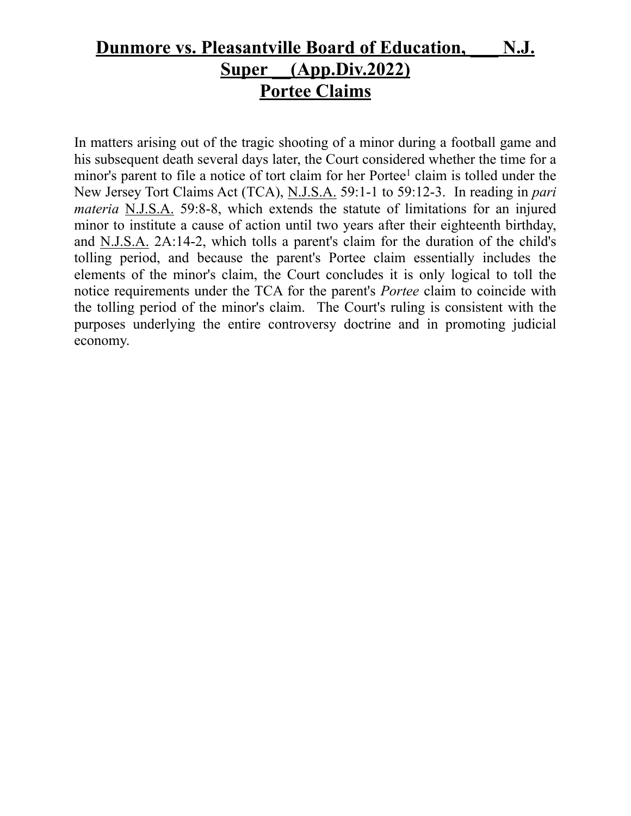#### **Dunmore vs. Pleasantville Board of Education, \_\_\_ N.J. Super \_\_(App.Div.2022) Portee Claims**

In matters arising out of the tragic shooting of a minor during a football game and his subsequent death several days later, the Court considered whether the time for a minor's parent to file a notice of tort claim for her Portee<sup>1</sup> claim is tolled under the New Jersey Tort Claims Act (TCA), N.J.S.A. 59:1-1 to 59:12-3. In reading in *pari materia* N.J.S.A. 59:8-8, which extends the statute of limitations for an injured minor to institute a cause of action until two years after their eighteenth birthday, and N.J.S.A. 2A:14-2, which tolls a parent's claim for the duration of the child's tolling period, and because the parent's Portee claim essentially includes the elements of the minor's claim, the Court concludes it is only logical to toll the notice requirements under the TCA for the parent's *Portee* claim to coincide with the tolling period of the minor's claim. The Court's ruling is consistent with the purposes underlying the entire controversy doctrine and in promoting judicial economy.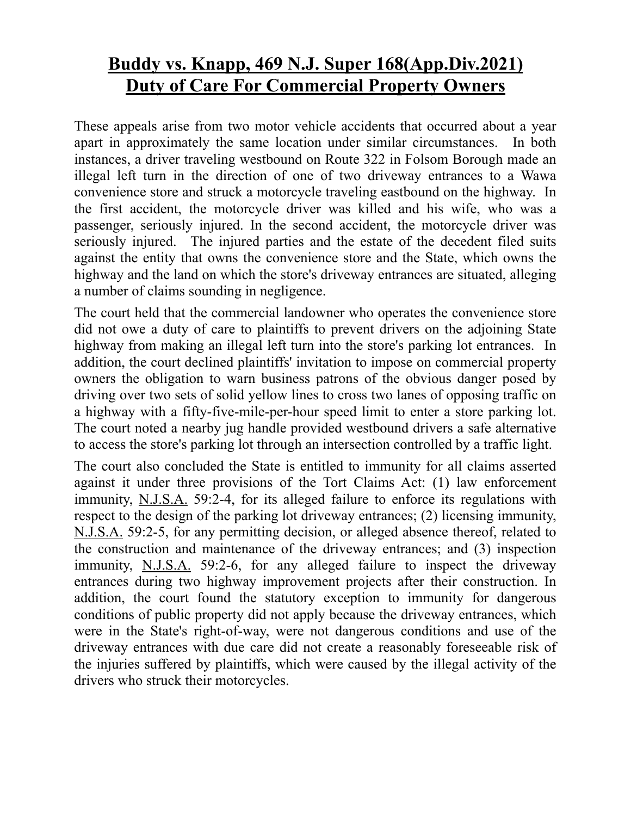#### **Buddy vs. Knapp, 469 N.J. Super 168(App.Div.2021) Duty of Care For Commercial Property Owners**

These appeals arise from two motor vehicle accidents that occurred about a year apart in approximately the same location under similar circumstances. In both instances, a driver traveling westbound on Route 322 in Folsom Borough made an illegal left turn in the direction of one of two driveway entrances to a Wawa convenience store and struck a motorcycle traveling eastbound on the highway. In the first accident, the motorcycle driver was killed and his wife, who was a passenger, seriously injured. In the second accident, the motorcycle driver was seriously injured. The injured parties and the estate of the decedent filed suits against the entity that owns the convenience store and the State, which owns the highway and the land on which the store's driveway entrances are situated, alleging a number of claims sounding in negligence.

The court held that the commercial landowner who operates the convenience store did not owe a duty of care to plaintiffs to prevent drivers on the adjoining State highway from making an illegal left turn into the store's parking lot entrances. In addition, the court declined plaintiffs' invitation to impose on commercial property owners the obligation to warn business patrons of the obvious danger posed by driving over two sets of solid yellow lines to cross two lanes of opposing traffic on a highway with a fifty-five-mile-per-hour speed limit to enter a store parking lot. The court noted a nearby jug handle provided westbound drivers a safe alternative to access the store's parking lot through an intersection controlled by a traffic light.

The court also concluded the State is entitled to immunity for all claims asserted against it under three provisions of the Tort Claims Act: (1) law enforcement immunity, N.J.S.A. 59:2-4, for its alleged failure to enforce its regulations with respect to the design of the parking lot driveway entrances; (2) licensing immunity, N.J.S.A. 59:2-5, for any permitting decision, or alleged absence thereof, related to the construction and maintenance of the driveway entrances; and (3) inspection immunity, N.J.S.A. 59:2-6, for any alleged failure to inspect the driveway entrances during two highway improvement projects after their construction. In addition, the court found the statutory exception to immunity for dangerous conditions of public property did not apply because the driveway entrances, which were in the State's right-of-way, were not dangerous conditions and use of the driveway entrances with due care did not create a reasonably foreseeable risk of the injuries suffered by plaintiffs, which were caused by the illegal activity of the drivers who struck their motorcycles.